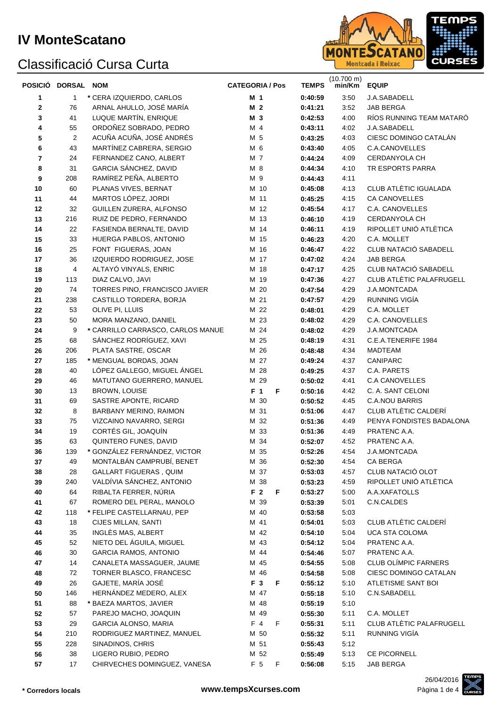#### **IV MonteScatano**

## Classificació Cursa Curta



|    | POSICIÓ DORSAL NOM |                                   | <b>CATEGORIA / Pos</b> |   | <b>TEMPS</b> | $(10.700 \text{ m})$<br>min/Km | <b>EQUIP</b>             |
|----|--------------------|-----------------------------------|------------------------|---|--------------|--------------------------------|--------------------------|
| 1  | $\mathbf{1}$       | * CERA IZQUIERDO, CARLOS          | M 1                    |   | 0:40:59      | 3:50                           | J.A.SABADELL             |
| 2  | 76                 | ARNAL AHULLO, JOSÉ MARÍA          | M <sub>2</sub>         |   | 0:41:21      | 3:52                           | <b>JAB BERGA</b>         |
| 3  | 41                 | LUQUE MARTÍN, ENRIQUE             | M 3                    |   | 0:42:53      | 4:00                           | RÍOS RUNNING TEAM MATARÓ |
| 4  | 55                 | ORDOÑEZ SOBRADO, PEDRO            | M 4                    |   | 0:43:11      | 4:02                           | J.A.SABADELL             |
| 5  | $\overline{2}$     | ACUÑA ACUÑA, JOSÉ ANDRÉS          | M 5                    |   | 0:43:25      | 4:03                           | CIESC DOMINGO CATALÁN    |
| 6  | 43                 | MARTÍNEZ CABRERA, SERGIO          | M 6                    |   | 0:43:40      | 4:05                           | C.A.CANOVELLES           |
| 7  | 24                 | FERNANDEZ CANO, ALBERT            | M 7                    |   | 0:44:24      | 4:09                           | CERDANYOLA CH            |
| 8  | 31                 | GARCIA SÁNCHEZ, DAVID             | M 8                    |   | 0:44:34      | 4:10                           | TR ESPORTS PARRA         |
| 9  | 208                | RAMÍREZ PEÑA, ALBERTO             | M 9                    |   | 0:44:43      | 4:11                           |                          |
| 10 | 60                 | PLANAS VIVES, BERNAT              | M 10                   |   | 0:45:08      | 4:13                           | CLUB ATLÈTIC IGUALADA    |
| 11 | 44                 | MARTOS LÓPEZ, JORDI               | M 11                   |   | 0:45:25      | 4:15                           | CA CANOVELLES            |
| 12 | 32                 | GUILLEN ZURERA, ALFONSO           | M 12                   |   | 0:45:54      | 4:17                           | C.A. CANOVELLES          |
| 13 | 216                | RUIZ DE PEDRO, FERNANDO           | M 13                   |   | 0:46:10      | 4:19                           | CERDANYOLA CH            |
| 14 | 22                 | FASIENDA BERNALTE, DAVID          | M 14                   |   | 0:46:11      | 4:19                           | RIPOLLET UNIÓ ATLÈTICA   |
| 15 | 33                 | HUERGA PABLOS, ANTONIO            | M 15                   |   | 0:46:23      | 4:20                           | C.A. MOLLET              |
| 16 | 25                 | FONT FIGUERAS, JOAN               | M 16                   |   | 0:46:47      | 4:22                           | CLUB NATACIÓ SABADELL    |
| 17 | 36                 | IZQUIERDO RODRIGUEZ, JOSE         | M 17                   |   | 0:47:02      | 4:24                           | JAB BERGA                |
| 18 | 4                  | ALTAYÓ VINYALS, ENRIC             | M 18                   |   | 0:47:17      | 4:25                           | CLUB NATACIÓ SABADELL    |
| 19 | 113                | DIAZ CALVO, JAVI                  | M 19                   |   | 0:47:36      | 4:27                           | CLUB ATLÈTIC PALAFRUGELL |
| 20 | 74                 | TORRES PINO, FRANCISCO JAVIER     | M 20                   |   | 0:47:54      | 4:29                           | J.A.MONTCADA             |
| 21 | 238                | CASTILLO TORDERA, BORJA           | M 21                   |   | 0:47:57      | 4:29                           | RUNNING VIGÍA            |
| 22 | 53                 | OLIVE PI, LLUIS                   | M 22                   |   | 0:48:01      | 4:29                           | C.A. MOLLET              |
| 23 | 50                 | MORA MANZANO, DANIEL              | M 23                   |   | 0:48:02      | 4:29                           | C.A. CANOVELLES          |
| 24 | 9                  | * CARRILLO CARRASCO, CARLOS MANUE | M 24                   |   | 0:48:02      | 4:29                           | J.A.MONTCADA             |
| 25 | 68                 | SÁNCHEZ RODRÍGUEZ, XAVI           | M 25                   |   | 0:48:19      | 4:31                           | C.E.A.TENERIFE 1984      |
| 26 | 206                | PLATA SASTRE, OSCAR               | M 26                   |   | 0:48:48      | 4:34                           | <b>MADTEAM</b>           |
| 27 | 185                | * MENGUAL BORDAS, JOAN            | M 27                   |   | 0:49:24      | 4:37                           | CANIPARC                 |
| 28 | 40                 | LÓPEZ GALLEGO, MIGUEL ÁNGEL       | M 28                   |   | 0:49:25      | 4:37                           | C.A. PARETS              |
| 29 | 46                 | MATUTANO GUERRERO, MANUEL         | M 29                   |   | 0:50:02      | 4:41                           | <b>C.A CANOVELLES</b>    |
| 30 | 13                 | BROWN, LOUISE                     | F <sub>1</sub>         | F | 0:50:16      | 4:42                           | C. A. SANT CELONI        |
| 31 | 69                 | SASTRE APONTE, RICARD             | M 30                   |   | 0:50:52      | 4:45                           | C.A.NOU BARRIS           |
| 32 | 8                  | BARBANY MERINO, RAIMON            | M 31                   |   | 0:51:06      | 4:47                           | CLUB ATLÈTIC CALDERÍ     |
| 33 | 75                 | VIZCAINO NAVARRO, SERGI           | M 32                   |   | 0:51:36      | 4:49                           | PENYA FONDISTES BADALONA |
| 34 | 19                 | CORTÉS GIL, JOAQUÍN               | M 33                   |   | 0:51:36      | 4:49                           | PRATENC A.A.             |
| 35 | 63                 | QUINTERO FUNES, DAVID             | M 34                   |   | 0:52:07      | 4:52                           | PRATENC A.A.             |
| 36 | 139                | * GONZÁLEZ FERNÁNDEZ, VICTOR      | M 35                   |   | 0:52:26      | 4:54                           | J.A.MONTCADA             |
| 37 | 49                 | MONTALBÁN CAMPRUBÍ, BENET         | M 36                   |   | 0:52:30      | 4:54                           | CA BERGA                 |
| 38 | 28                 | <b>GALLART FIGUERAS, QUIM</b>     | M 37                   |   | 0:53:03      | 4:57                           | CLUB NATACIÓ OLOT        |
| 39 | 240                | VALDÍVIA SÁNCHEZ, ANTONIO         | M 38                   |   | 0:53:23      | 4:59                           | RIPOLLET UNIÓ ATLÈTICA   |
| 40 | 64                 | RIBALTA FERRER, NÚRIA             | F <sub>2</sub>         | F | 0:53:27      | 5:00                           | A.A.XAFATOLLS            |
| 41 | 67                 | ROMERO DEL PERAL, MANOLO          | M 39                   |   | 0:53:39      | 5:01                           | C.N.CALDES               |
| 42 | 118                | * FELIPE CASTELLARNAU, PEP        | M 40                   |   | 0:53:58      | 5:03                           |                          |
| 43 | 18                 | CIJES MILLAN, SANTI               | M 41                   |   | 0:54:01      | 5:03                           | CLUB ATLÈTIC CALDERÍ     |
| 44 | 35                 | INGLÈS MAS, ALBERT                | M 42                   |   | 0:54:10      | 5:04                           | UCA STA COLOMA           |
| 45 | 52                 | NIETO DEL ÁGUILA, MIGUEL          | M 43                   |   | 0:54:12      | 5:04                           | PRATENC A.A.             |
| 46 | $30\,$             | <b>GARCIA RAMOS, ANTONIO</b>      | M 44                   |   | 0:54:46      | 5:07                           | PRATENC A.A.             |
| 47 | 14                 | CANALETA MASSAGUER, JAUME         | M 45                   |   | 0:54:55      | 5:08                           | CLUB OLÍMPIC FARNERS     |
| 48 | 72                 | TORNER BLASCO, FRANCESC           | M 46                   |   | 0:54:58      | 5:08                           | CIESC DOMINGO CATALAN    |
| 49 | 26                 | GAJETE, MARÍA JOSÉ                | F 3                    | F | 0:55:12      | 5:10                           | ATLETISME SANT BOI       |
| 50 | 146                | HERNÁNDEZ MEDERO, ALEX            | M 47                   |   | 0:55:18      | 5:10                           | C.N.SABADELL             |
| 51 | 88                 | * BAEZA MARTOS, JAVIER            | M 48                   |   | 0:55:19      | 5:10                           |                          |
| 52 | 57                 | PAREJO MACHO, JOAQUIN             | M 49                   |   | 0:55:30      | 5:11                           | C.A. MOLLET              |
| 53 | 29                 | <b>GARCIA ALONSO, MARIA</b>       | F 4                    | F | 0:55:31      | 5:11                           | CLUB ATLÈTIC PALAFRUGELL |
| 54 | 210                | RODRIGUEZ MARTINEZ, MANUEL        | M 50                   |   | 0:55:32      | 5:11                           | RUNNING VIGÍA            |
| 55 | 228                | SINADINOS, CHRIS                  | M 51                   |   | 0:55:43      | 5:12                           |                          |
| 56 | 38                 | LIGERO RUBIO, PEDRO               | M 52                   |   | 0:55:49      | 5:13                           | CE PICORNELL             |
| 57 | 17                 | CHIRVECHES DOMINGUEZ, VANESA      | F 5                    | F | 0:56:08      | 5:15                           | JAB BERGA                |

26/04/2016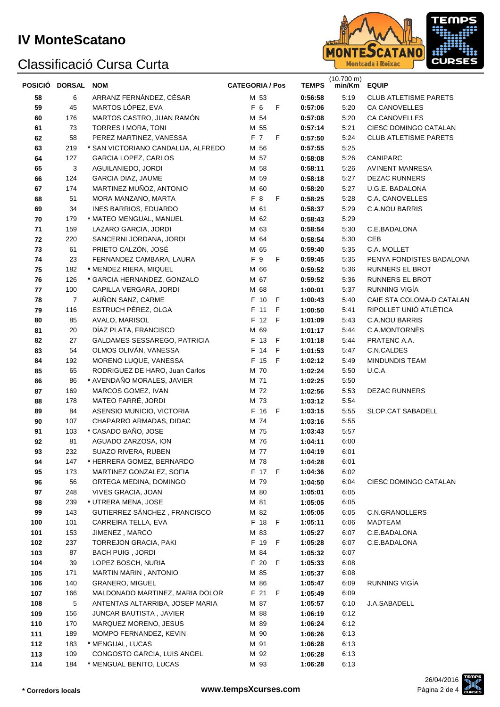#### **IV MonteScatano**

## Classificació Cursa Curta



| POSICIÓ DORSAL |            | <b>NOM</b>                               | <b>CATEGORIA / Pos</b> |              |        |         | <b>TEMPS</b> | $(10.700 \text{ m})$<br>min/Km | <b>EQUIP</b>                 |
|----------------|------------|------------------------------------------|------------------------|--------------|--------|---------|--------------|--------------------------------|------------------------------|
| 58             | 6          | ARRANZ FERNÁNDEZ, CÉSAR                  |                        | M 53         |        |         | 0:56:58      | 5:19                           | <b>CLUB ATLETISME PARETS</b> |
| 59             | 45         | MARTOS LÓPEZ, EVA                        |                        | F 6          | F      | 0:57:06 |              | 5:20                           | <b>CA CANOVELLES</b>         |
| 60             | 176        | MARTOS CASTRO, JUAN RAMÓN                |                        | M 54         |        |         | 0:57:08      | 5:20                           | <b>CA CANOVELLES</b>         |
| 61             | 73         | TORRES I MORA, TONI                      |                        | M 55         |        |         | 0:57:14      | 5:21                           | CIESC DOMINGO CATALAN        |
| 62             | 58         | PEREZ MARTINEZ, VANESSA                  |                        | F 7          | F      | 0:57:50 |              | 5:24                           | <b>CLUB ATLETISME PARETS</b> |
| 63             | 219        | * SAN VICTORIANO CANDALIJA, ALFREDO      |                        | M 56         |        |         | 0:57:55      | 5:25                           |                              |
| 64             | 127        | <b>GARCIA LOPEZ, CARLOS</b>              |                        | M 57         |        |         | 0:58:08      | 5:26                           | CANIPARC                     |
| 65             | 3          | AGUILANIEDO, JORDI                       |                        | M 58         |        | 0:58:11 |              | 5:26                           | <b>AVINENT MANRESA</b>       |
| 66             | 124        | GARCIA DIAZ, JAUME                       |                        | M 59         |        | 0:58:18 |              | 5:27                           | <b>DEZAC RUNNERS</b>         |
| 67             | 174        | MARTINEZ MUÑOZ, ANTONIO                  |                        | M 60         |        | 0:58:20 |              | 5:27                           | U.G.E. BADALONA              |
| 68             | 51         | MORA MANZANO, MARTA                      |                        | F 8          | F      | 0:58:25 |              | 5:28                           | C.A. CANOVELLES              |
| 69             | 34         | INES BARRIOS, EDUARDO                    |                        | M 61         |        |         | 0:58:37      | 5:29                           | <b>C.A.NOU BARRIS</b>        |
| 70             | 179        | * MATEO MENGUAL, MANUEL                  |                        | M 62         |        | 0:58:43 |              | 5:29                           |                              |
| 71             | 159        | LAZARO GARCIA, JORDI                     |                        | M 63         |        | 0:58:54 |              | 5:30                           | C.E.BADALONA                 |
| 72             | 220        | SANCERNI JORDANA, JORDI                  |                        | M 64         |        | 0:58:54 |              | 5:30                           | CEB                          |
| 73             | 61         | PRIETO CALZÓN, JOSÉ                      |                        | M 65         |        | 0:59:40 |              | 5:35                           | C.A. MOLLET                  |
| 74             | 23         | FERNANDEZ CAMBARA, LAURA                 |                        | F 9          | F      | 0:59:45 |              | 5:35                           | PENYA FONDISTES BADALONA     |
| 75             | 182        | * MENDEZ RIERA, MIQUEL                   |                        | M 66         |        |         | 0:59:52      | 5:36                           | RUNNERS EL BROT              |
| 76             | 126        | * GARCIA HERNANDEZ, GONZALO              |                        | M 67         |        |         | 0:59:52      | 5:36                           | <b>RUNNERS EL BROT</b>       |
| 77             | 100        | CAPILLA VERGARA, JORDI                   |                        | M 68         |        | 1:00:01 |              | 5:37                           | RUNNING VIGÍA                |
| 78             | 7          | AUÑON SANZ, CARME                        |                        | F 10         | F      | 1:00:43 |              | 5:40                           | CAIE STA COLOMA-D CATALAN    |
| 79             | 116        | ESTRUCH PÉREZ, OLGA                      |                        | F 11         | F      |         | 1:00:50      | 5:41                           | RIPOLLET UNIÓ ATLÈTICA       |
| 80             | 85         | AVALO, MARISOL                           |                        | F 12         | F      | 1:01:09 |              | 5:43                           | <b>C.A.NOU BARRIS</b>        |
| 81             | 20         | DÍAZ PLATA, FRANCISCO                    |                        | M 69         |        |         | 1:01:17      | 5.44                           | C.A.MONTORNES                |
| 82             | 27         | GALDAMES SESSAREGO, PATRICIA             |                        | F 13         | - F    |         | 1:01:18      | 5:44                           | PRATENC A.A.                 |
| 83             | 54         | OLMOS OLIVÁN, VANESSA                    |                        | F 14         | F      |         | 1:01:53      | 5:47                           | C.N.CALDES                   |
| 84             | 192        | MORENO LUQUE, VANESSA                    |                        | F 15         | - F    |         | 1:02:12      | 5:49                           | <b>MINDUNDIS TEAM</b>        |
| 85             | 65         | RODRIGUEZ DE HARO, Juan Carlos           |                        | M 70         |        |         | 1:02:24      | 5:50                           | U.C.A                        |
| 86             | 86         | * AVENDAÑO MORALES, JAVIER               |                        | M 71<br>M 72 |        |         | 1:02:25      | 5:50                           |                              |
| 87<br>88       | 169<br>178 | MARCOS GOMEZ, IVAN<br>MATEO FARRÉ, JORDI |                        | M 73         |        | 1:02:56 | 1:03:12      | 5:53<br>5:54                   | <b>DEZAC RUNNERS</b>         |
| 89             | 84         | ASENSIO MUNICIO, VICTORIA                |                        | F 16         | - F    |         | 1:03:15      | 5:55                           | SLOP.CAT SABADELL            |
| 90             | 107        | CHAPARRO ARMADAS, DIDAC                  |                        | M 74         |        | 1:03:16 |              | 5:55                           |                              |
| 91             | 103        | * CASADO BAÑO, JOSE                      |                        | M 75         |        | 1:03:43 |              | 5:57                           |                              |
| 92             | 81         | AGUADO ZARZOSA, ION                      |                        | M 76         |        | 1:04:11 |              | 6:00                           |                              |
| 93             | 232        | SUAZO RIVERA, RUBEN                      |                        | M 77         |        |         | 1:04:19      | 6:01                           |                              |
| 94             | 147        | * HERRERA GOMEZ, BERNARDO                |                        | M 78         |        |         | 1:04:28      | 6:01                           |                              |
| 95             | 173        | MARTINEZ GONZALEZ, SOFIA                 |                        |              | F 17 F | 1:04:36 |              | 6:02                           |                              |
| 96             | 56         | ORTEGA MEDINA, DOMINGO                   |                        | M 79         |        |         | 1:04:50      | 6:04                           | CIESC DOMINGO CATALAN        |
| 97             | 248        | <b>VIVES GRACIA, JOAN</b>                |                        | M 80         |        | 1:05:01 |              | 6:05                           |                              |
| 98             | 239        | * UTRERA MENA, JOSE                      |                        | M 81         |        |         | 1:05:05      | 6:05                           |                              |
| 99             | 143        | GUTIERREZ SANCHEZ, FRANCISCO             |                        | M 82         |        |         | 1:05:05      | 6:05                           | C.N.GRANOLLERS               |
| 100            | 101        | CARREIRA TELLA, EVA                      |                        |              | F 18 F | 1:05:11 |              | 6:06                           | MADTEAM                      |
| 101            | 153        | JIMENEZ, MARCO                           |                        | M 83         |        |         | 1:05:27      | 6:07                           | C.E.BADALONA                 |
| 102            | 237        | <b>TORREJON GRACIA, PAKI</b>             |                        |              | F 19 F |         | 1:05:28      | 6:07                           | C.E.BADALONA                 |
| 103            | 87         | <b>BACH PUIG, JORDI</b>                  |                        | M 84         |        |         | 1:05:32      | 6:07                           |                              |
| 104            | 39         | LOPEZ BOSCH, NURIA                       |                        | F 20         | F      | 1:05:33 |              | 6:08                           |                              |
| 105            | 171        | MARTIN MARIN, ANTONIO                    |                        | M 85         |        |         | 1:05:37      | 6:08                           |                              |
| 106            | 140        | <b>GRANERO, MIGUEL</b>                   |                        | M 86         |        |         | 1:05:47      | 6:09                           | RUNNING VIGÍA                |
| 107            | 166        | MALDONADO MARTINEZ, MARIA DOLOR          |                        | F 21         | F      | 1:05:49 |              | 6:09                           |                              |
| 108            | 5          | ANTENTAS ALTARRIBA, JOSEP MARIA          |                        | M 87         |        |         | 1:05:57      | 6:10                           | J.A.SABADELL                 |
| 109            | 156        | JUNCAR BAUTISTA , JAVIER                 |                        | M 88         |        |         | 1:06:19      | 6:12                           |                              |
| 110            | 170        | MARQUEZ MORENO, JESUS                    |                        | M 89         |        |         | 1:06:24      | 6:12                           |                              |
| 111            | 189        | MOMPO FERNANDEZ, KEVIN                   |                        | M 90         |        |         | 1:06:26      | 6:13                           |                              |
| 112            | 183        | * MENGUAL, LUCAS                         |                        | M 91         |        |         | 1:06:28      | 6:13                           |                              |
| 113            | 109        | CONGOSTO GARCIA, LUIS ANGEL              |                        | M 92         |        |         | 1:06:28      | 6:13                           |                              |
| 114            | 184        | * MENGUAL BENITO, LUCAS                  |                        | M 93         |        |         | 1:06:28      | 6:13                           |                              |

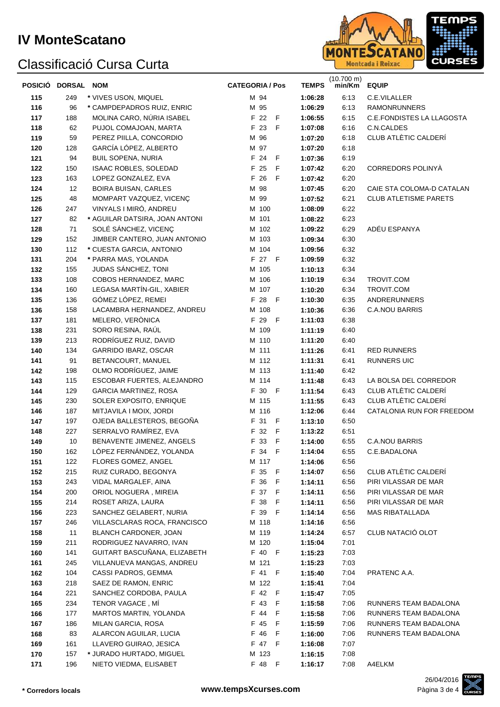# Classificació Cursa Curta



| POSICIÓ DORSAL NOM |           |                                                        | <b>CATEGORIA / Pos</b> | <b>TEMPS</b>       | $(10.700 \text{ m})$<br>min/Km | <b>EQUIP</b>                     |
|--------------------|-----------|--------------------------------------------------------|------------------------|--------------------|--------------------------------|----------------------------------|
| 115                | 249       | * VIVES USON, MIQUEL                                   | M 94                   | 1:06:28            | 6:13                           | C.E.VILALLER                     |
| 116                | 96        | * CAMPDEPADROS RUIZ, ENRIC                             | M 95                   | 1:06:29            | 6:13                           | <b>RAMONRUNNERS</b>              |
| 117                | 188       | MOLINA CARO, NÚRIA ISABEL                              | F 22<br>$\mathsf F$    | 1:06:55            | 6:15                           | <b>C.E.FONDISTES LA LLAGOSTA</b> |
| 118                | 62        | PUJOL COMAJOAN, MARTA                                  | F 23<br>F              | 1:07:08            | 6:16                           | C.N.CALDES                       |
| 119                | 59        | PEREZ PIILLA, CONCORDIO                                | M 96                   | 1:07:20            | 6:18                           | CLUB ATLÈTIC CALDERÍ             |
| 120                | 128       | GARCÍA LÓPEZ, ALBERTO                                  | M 97                   | 1:07:20            | 6:18                           |                                  |
| 121                | 94        | <b>BUIL SOPENA, NURIA</b>                              | F 24<br>$\mathsf F$    | 1:07:36            | 6:19                           |                                  |
| 122                | 150       | ISAAC ROBLES, SOLEDAD                                  | F 25<br>F              | 1:07:42            | 6:20                           | CORREDORS POLINYÀ                |
| 123                | 163       | LOPEZ GONZALEZ, EVA                                    | F 26<br>F              | 1:07:42            | 6:20                           |                                  |
| 124                | 12        | <b>BOIRA BUISAN, CARLES</b>                            | M 98                   | 1:07:45            | 6:20                           | CAIE STA COLOMA-D CATALAN        |
| 125                | 48        | MOMPART VAZQUEZ, VICENÇ                                | M 99                   | 1:07:52            | 6:21                           | <b>CLUB ATLETISME PARETS</b>     |
| 126                | 247       | VINYALS I MIRÓ, ANDREU                                 | M 100                  | 1:08:09            | 6:22                           |                                  |
| 127                | 82<br>71  | * AGUILAR DATSIRA, JOAN ANTONI<br>SOLÉ SÁNCHEZ, VICENÇ | M 101<br>M 102         | 1:08:22            | 6:23<br>6:29                   | ADÉU ESPANYA                     |
| 128<br>129         | 152       | JIMBER CANTERO, JUAN ANTONIO                           | M 103                  | 1:09:22<br>1:09:34 | 6:30                           |                                  |
| 130                | 112       | * CUESTA GARCIA, ANTONIO                               | M 104                  | 1:09:56            | 6:32                           |                                  |
| 131                | 204       | * PARRA MAS, YOLANDA                                   | F 27 F                 | 1:09:59            | 6:32                           |                                  |
| 132                | 155       | JUDAS SÁNCHEZ, TONI                                    | M 105                  | 1:10:13            | 6:34                           |                                  |
| 133                | 108       | COBOS HERNANDEZ, MARC                                  | M 106                  | 1:10:19            | 6:34                           | TROVIT.COM                       |
| 134                | 160       | LEGASA MARTÍN-GIL, XABIER                              | M 107                  | 1:10:20            | 6:34                           | TROVIT.COM                       |
| 135                | 136       | GÓMEZ LÓPEZ, REMEI                                     | F 28 F                 | 1:10:30            | 6:35                           | <b>ANDRERUNNERS</b>              |
| 136                | 158       | LACAMBRA HERNANDEZ, ANDREU                             | M 108                  | 1:10:36            | 6:36                           | <b>C.A.NOU BARRIS</b>            |
| 137                | 181       | MELERO, VERÒNICA                                       | F 29 F                 | 1:11:03            | 6:38                           |                                  |
| 138                | 231       | SORO RESINA, RAÚL                                      | M 109                  | 1:11:19            | 6:40                           |                                  |
| 139                | 213       | RODRÍGUEZ RUIZ, DAVID                                  | M 110                  | 1:11:20            | 6:40                           |                                  |
| 140                | 134       | GARRIDO IBARZ, OSCAR                                   | M 111                  | 1:11:26            | 6:41                           | RED RUNNERS                      |
| 141                | 91        | BETANCOURT, MANUEL                                     | M 112                  | 1:11:31            | 6:41                           | <b>RUNNERS UIC</b>               |
| 142                | 198       | OLMO RODRÍGUEZ, JAIME                                  | M 113                  | 1:11:40            | 6:42                           |                                  |
| 143                | 115       | ESCOBAR FUERTES, ALEJANDRO                             | M 114                  | 1:11:48            | 6:43                           | LA BOLSA DEL CORREDOR            |
| 144                | 129       | <b>GARCIA MARTINEZ, ROSA</b>                           | F 30 F                 | 1:11:54            | 6:43                           | CLUB ATLÈTIC CALDERÍ             |
| 145                | 230       | SOLER EXPOSITO, ENRIQUE                                | M 115                  | 1:11:55            | 6:43                           | CLUB ATLÈTIC CALDERÍ             |
| 146                | 187       | MITJAVILA I MOIX, JORDI                                | M 116                  | 1:12:06            | 6.44                           | CATALONIA RUN FOR FREEDOM        |
| 147                | 197       | OJEDA BALLESTEROS, BEGOÑA                              | F 31 F                 | 1:13:10            | 6:50                           |                                  |
| 148                | 227       | SERRALVO RAMÍREZ, EVA                                  | F 32 F                 | 1:13:22            | 6:51                           |                                  |
| 149                | 10        | BENAVENTE JIMENEZ, ANGELS                              | F 33 F                 | 1:14:00            | 6:55                           | <b>C.A.NOU BARRIS</b>            |
| 150                | 162       | LÓPEZ FERNÁNDEZ, YOLANDA                               | F 34 F                 | 1:14:04            | 6:55                           | C.E.BADALONA                     |
| 151                | 122       | FLORES GOMEZ, ANGEL                                    | M 117                  | 1:14:06            | 6:56                           |                                  |
| 152                | 215       | RUIZ CURADO, BEGONYA                                   | F 35 F                 | 1:14:07            | 6.56                           | CLUB ATLÈTIC CALDERÍ             |
| 153                | 243       | VIDAL MARGALEF, AINA                                   | F 36 F                 | 1:14:11            | 6:56                           | PIRI VILASSAR DE MAR             |
| 154                | 200       | ORIOL NOGUERA, MIREIA                                  | F 37 F                 | 1:14:11            | 6:56                           | PIRI VILASSAR DE MAR             |
| 155                | 214       | ROSET ARIZA, LAURA                                     | F 38 F                 | 1:14:11            | 6:56                           | PIRI VILASSAR DE MAR             |
| 156                | 223       | SANCHEZ GELABERT, NURIA                                | F 39 F                 | 1:14:14            | 6:56                           | <b>MAS RIBATALLADA</b>           |
| 157                | 246       | VILLASCLARAS ROCA, FRANCISCO<br>BLANCH CARDONER, JOAN  | M 118                  | 1:14:16            | 6:56                           | CLUB NATACIÓ OLOT                |
| 158<br>159         | 11<br>211 | RODRIGUEZ NAVARRO, IVAN                                | M 119<br>M 120         | 1:14:24<br>1:15:04 | 6:57<br>7:01                   |                                  |
| 160                | 141       | GUITART BASCUÑANA, ELIZABETH                           | F 40 F                 | 1:15:23            | 7:03                           |                                  |
| 161                | 245       | VILLANUEVA MANGAS, ANDREU                              | M 121                  | 1:15:23            | 7:03                           |                                  |
| 162                | 104       | CASSI PADROS, GEMMA                                    | F 41 F                 | 1:15:40            | 7:04                           | PRATENC A.A.                     |
| 163                | 218       | SAEZ DE RAMON, ENRIC                                   | M 122                  | 1:15:41            | 7:04                           |                                  |
| 164                | 221       | SANCHEZ CORDOBA, PAULA                                 | F 42 F                 | 1:15:47            | 7:05                           |                                  |
| 165                | 234       | TENOR VAGACE, MI                                       | F 43 F                 | 1:15:58            | 7:06                           | RUNNERS TEAM BADALONA            |
| 166                | 177       | MARTOS MARTIN, YOLANDA                                 | F 44<br>F.             | 1:15:58            | 7:06                           | RUNNERS TEAM BADALONA            |
| 167                | 186       | MILAN GARCIA, ROSA                                     | F 45 F                 | 1:15:59            | 7:06                           | RUNNERS TEAM BADALONA            |
| 168                | 83        | ALARCON AGUILAR, LUCIA                                 | F 46 F                 | 1:16:00            | 7:06                           | RUNNERS TEAM BADALONA            |
| 169                | 161       | LLAVERO GUIRAO, JESICA                                 | F 47 F                 | 1:16:08            | 7:07                           |                                  |
| 170                | 157       | * JURADO HURTADO, MIGUEL                               | M 123                  | 1:16:15            | 7:08                           |                                  |
| 171                | 196       | NIETO VIEDMA, ELISABET                                 | F 48 F                 | 1:16:17            | 7:08                           | A4ELKM                           |